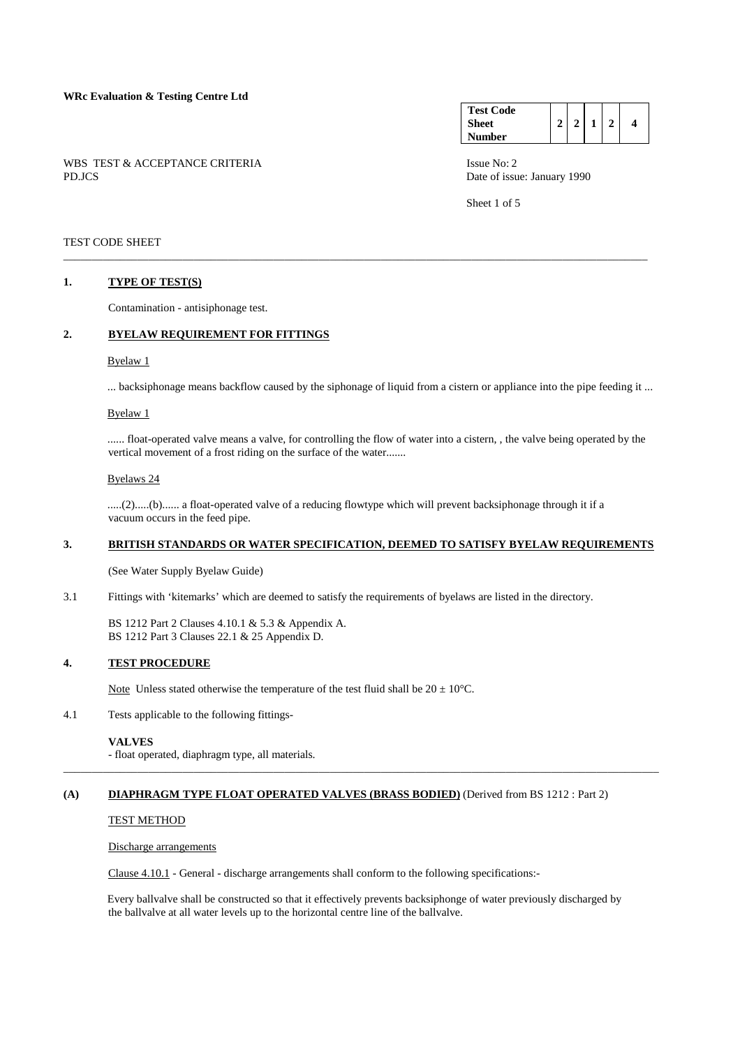|        |  | WBS TEST & ACCEPTANCE CRITERIA |  |
|--------|--|--------------------------------|--|
| PD.JCS |  |                                |  |

| <b>Test Code</b> |  |  |  |
|------------------|--|--|--|
| <b>Sheet</b>     |  |  |  |
| Number           |  |  |  |

Sheet 1 of 5

## TEST CODE SHEET

## **1. TYPE OF TEST(S)**

Contamination - antisiphonage test.

## **2. BYELAW REQUIREMENT FOR FITTINGS**

#### Byelaw 1

... backsiphonage means backflow caused by the siphonage of liquid from a cistern or appliance into the pipe feeding it ...

\_\_\_\_\_\_\_\_\_\_\_\_\_\_\_\_\_\_\_\_\_\_\_\_\_\_\_\_\_\_\_\_\_\_\_\_\_\_\_\_\_\_\_\_\_\_\_\_\_\_\_\_\_\_\_\_\_\_\_\_\_\_\_\_\_\_\_\_\_\_\_\_\_\_\_\_\_\_\_\_\_\_\_\_\_\_\_\_\_\_\_\_\_\_\_\_\_\_\_\_\_\_\_

#### Byelaw 1

 ...... float-operated valve means a valve, for controlling the flow of water into a cistern, , the valve being operated by the vertical movement of a frost riding on the surface of the water.......

#### Byelaws 24

 .....(2).....(b)...... a float-operated valve of a reducing flowtype which will prevent backsiphonage through it if a vacuum occurs in the feed pipe.

## **3. BRITISH STANDARDS OR WATER SPECIFICATION, DEEMED TO SATISFY BYELAW REQUIREMENTS**

(See Water Supply Byelaw Guide)

3.1 Fittings with 'kitemarks' which are deemed to satisfy the requirements of byelaws are listed in the directory.

 BS 1212 Part 2 Clauses 4.10.1 & 5.3 & Appendix A. BS 1212 Part 3 Clauses 22.1 & 25 Appendix D.

## **4. TEST PROCEDURE**

Note Unless stated otherwise the temperature of the test fluid shall be  $20 \pm 10^{\circ}$ C.

4.1 Tests applicable to the following fittings-

#### **VALVES**

- float operated, diaphragm type, all materials.

## **(A) DIAPHRAGM TYPE FLOAT OPERATED VALVES (BRASS BODIED)** (Derived from BS 1212 : Part 2)

#### TEST METHOD

Discharge arrangements

Clause 4.10.1 - General - discharge arrangements shall conform to the following specifications:-

 Every ballvalve shall be constructed so that it effectively prevents backsiphonge of water previously discharged by the ballvalve at all water levels up to the horizontal centre line of the ballvalve.

\_\_\_\_\_\_\_\_\_\_\_\_\_\_\_\_\_\_\_\_\_\_\_\_\_\_\_\_\_\_\_\_\_\_\_\_\_\_\_\_\_\_\_\_\_\_\_\_\_\_\_\_\_\_\_\_\_\_\_\_\_\_\_\_\_\_\_\_\_\_\_\_\_\_\_\_\_\_\_\_\_\_\_\_\_\_\_\_\_\_\_\_\_\_\_\_\_\_\_\_\_\_\_\_\_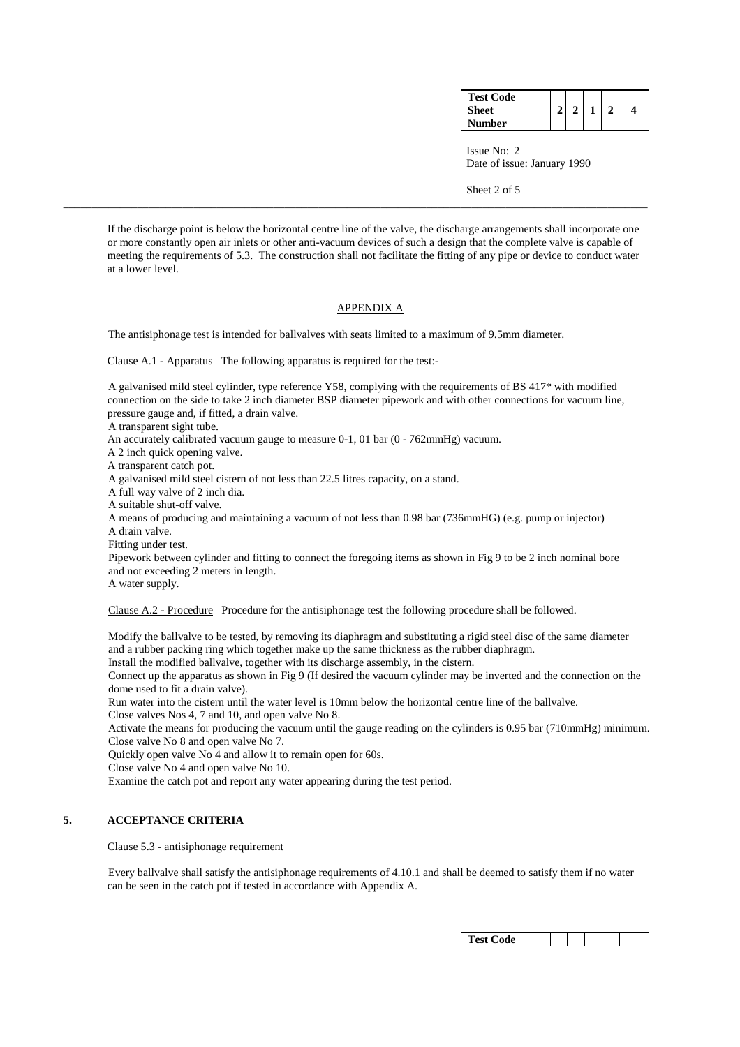| <b>Test Code</b> |  |  |  |
|------------------|--|--|--|
| Sheet            |  |  |  |
| Number           |  |  |  |

Sheet 2 of 5

 If the discharge point is below the horizontal centre line of the valve, the discharge arrangements shall incorporate one or more constantly open air inlets or other anti-vacuum devices of such a design that the complete valve is capable of meeting the requirements of 5.3. The construction shall not facilitate the fitting of any pipe or device to conduct water at a lower level.

\_\_\_\_\_\_\_\_\_\_\_\_\_\_\_\_\_\_\_\_\_\_\_\_\_\_\_\_\_\_\_\_\_\_\_\_\_\_\_\_\_\_\_\_\_\_\_\_\_\_\_\_\_\_\_\_\_\_\_\_\_\_\_\_\_\_\_\_\_\_\_\_\_\_\_\_\_\_\_\_\_\_\_\_\_\_\_\_\_\_\_\_\_\_\_\_\_\_\_\_\_\_\_

## APPENDIX A

The antisiphonage test is intended for ballvalves with seats limited to a maximum of 9.5mm diameter.

Clause A.1 - Apparatus The following apparatus is required for the test:-

 A galvanised mild steel cylinder, type reference Y58, complying with the requirements of BS 417\* with modified connection on the side to take 2 inch diameter BSP diameter pipework and with other connections for vacuum line, pressure gauge and, if fitted, a drain valve.

A transparent sight tube.

An accurately calibrated vacuum gauge to measure 0-1, 01 bar (0 - 762mmHg) vacuum.

A 2 inch quick opening valve.

A transparent catch pot.

A galvanised mild steel cistern of not less than 22.5 litres capacity, on a stand.

A full way valve of 2 inch dia.

A suitable shut-off valve.

 A means of producing and maintaining a vacuum of not less than 0.98 bar (736mmHG) (e.g. pump or injector) A drain valve.

Fitting under test.

 Pipework between cylinder and fitting to connect the foregoing items as shown in Fig 9 to be 2 inch nominal bore and not exceeding 2 meters in length.

A water supply.

Clause A.2 - Procedure Procedure for the antisiphonage test the following procedure shall be followed.

 Modify the ballvalve to be tested, by removing its diaphragm and substituting a rigid steel disc of the same diameter and a rubber packing ring which together make up the same thickness as the rubber diaphragm.

Install the modified ballvalve, together with its discharge assembly, in the cistern.

 Connect up the apparatus as shown in Fig 9 (If desired the vacuum cylinder may be inverted and the connection on the dome used to fit a drain valve).

 Run water into the cistern until the water level is 10mm below the horizontal centre line of the ballvalve. Close valves Nos 4, 7 and 10, and open valve No 8.

 Activate the means for producing the vacuum until the gauge reading on the cylinders is 0.95 bar (710mmHg) minimum. Close valve No 8 and open valve No 7.

Quickly open valve No 4 and allow it to remain open for 60s.

Close valve No 4 and open valve No 10.

Examine the catch pot and report any water appearing during the test period.

## **5. ACCEPTANCE CRITERIA**

Clause 5.3 - antisiphonage requirement

 Every ballvalve shall satisfy the antisiphonage requirements of 4.10.1 and shall be deemed to satisfy them if no water can be seen in the catch pot if tested in accordance with Appendix A.

| Test Code |  |  |  |
|-----------|--|--|--|
|-----------|--|--|--|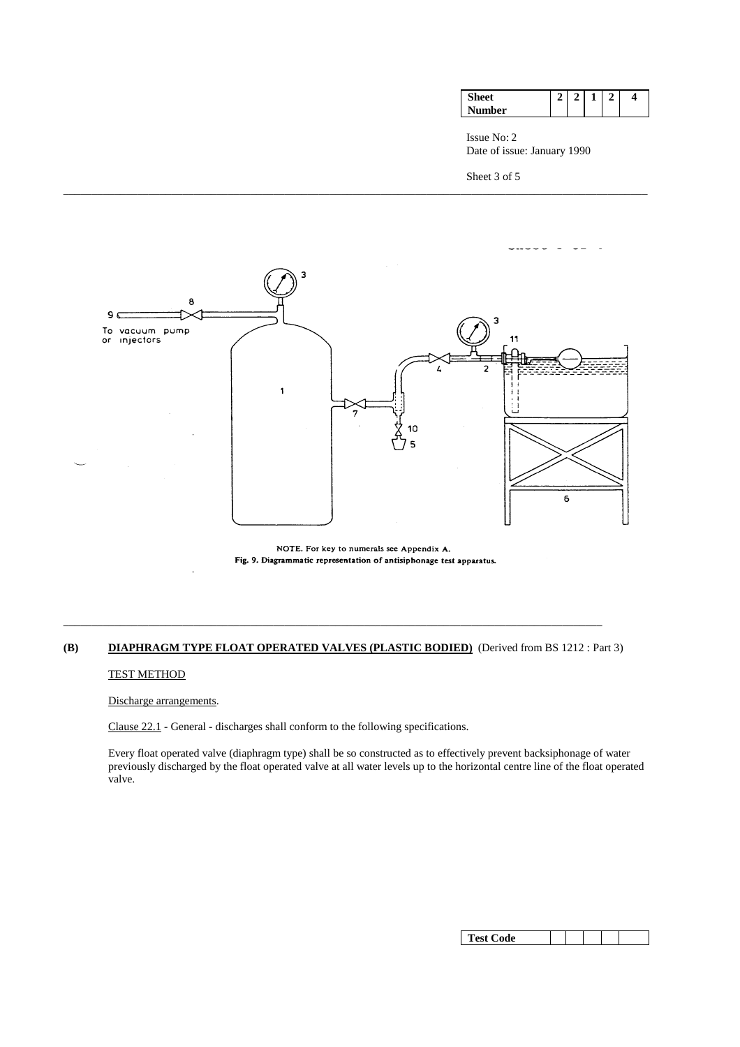|     |  | – | 4 |
|-----|--|---|---|
| ιer |  |   |   |

Sheet 3 of 5



\_\_\_\_\_\_\_\_\_\_\_\_\_\_\_\_\_\_\_\_\_\_\_\_\_\_\_\_\_\_\_\_\_\_\_\_\_\_\_\_\_\_\_\_\_\_\_\_\_\_\_\_\_\_\_\_\_\_\_\_\_\_\_\_\_\_\_\_\_\_\_\_\_\_\_\_\_\_\_\_\_\_\_\_\_\_\_\_\_\_\_\_\_\_\_\_\_\_\_\_\_\_\_

NOTE. For key to numerals see Appendix A. Fig. 9. Diagrammatic representation of antisiphonage test apparatus.

# **(B) DIAPHRAGM TYPE FLOAT OPERATED VALVES (PLASTIC BODIED)** (Derived from BS 1212 : Part 3)

\_\_\_\_\_\_\_\_\_\_\_\_\_\_\_\_\_\_\_\_\_\_\_\_\_\_\_\_\_\_\_\_\_\_\_\_\_\_\_\_\_\_\_\_\_\_\_\_\_\_\_\_\_\_\_\_\_\_\_\_\_\_\_\_\_\_\_\_\_\_\_\_\_\_\_\_\_\_\_\_\_\_\_\_\_\_\_\_\_\_\_\_\_\_\_

## TEST METHOD

Discharge arrangements.

Clause 22.1 - General - discharges shall conform to the following specifications.

 Every float operated valve (diaphragm type) shall be so constructed as to effectively prevent backsiphonage of water previously discharged by the float operated valve at all water levels up to the horizontal centre line of the float operated valve.

| Test Code |  |  |  |  |  |
|-----------|--|--|--|--|--|
|-----------|--|--|--|--|--|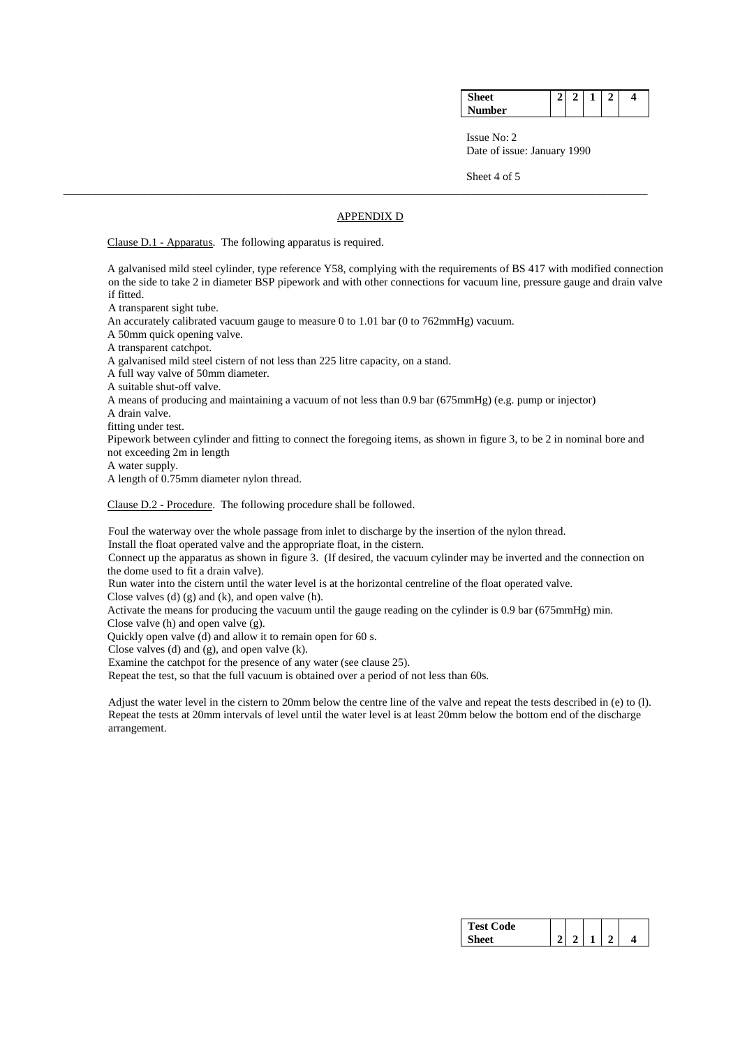| $\sim$ |  |  | Δ |
|--------|--|--|---|
| Number |  |  |   |

Sheet 4 of 5

#### APPENDIX D

\_\_\_\_\_\_\_\_\_\_\_\_\_\_\_\_\_\_\_\_\_\_\_\_\_\_\_\_\_\_\_\_\_\_\_\_\_\_\_\_\_\_\_\_\_\_\_\_\_\_\_\_\_\_\_\_\_\_\_\_\_\_\_\_\_\_\_\_\_\_\_\_\_\_\_\_\_\_\_\_\_\_\_\_\_\_\_\_\_\_\_\_\_\_\_\_\_\_\_\_\_\_\_

Clause D.1 - Apparatus. The following apparatus is required.

 A galvanised mild steel cylinder, type reference Y58, complying with the requirements of BS 417 with modified connection on the side to take 2 in diameter BSP pipework and with other connections for vacuum line, pressure gauge and drain valve if fitted.

A transparent sight tube.

An accurately calibrated vacuum gauge to measure 0 to 1.01 bar (0 to 762mmHg) vacuum.

A 50mm quick opening valve.

A transparent catchpot.

A galvanised mild steel cistern of not less than 225 litre capacity, on a stand.

A full way valve of 50mm diameter.

A suitable shut-off valve.

A means of producing and maintaining a vacuum of not less than 0.9 bar (675mmHg) (e.g. pump or injector)

A drain valve.

fitting under test.

 Pipework between cylinder and fitting to connect the foregoing items, as shown in figure 3, to be 2 in nominal bore and not exceeding 2m in length

A water supply.

A length of 0.75mm diameter nylon thread.

Clause D.2 - Procedure. The following procedure shall be followed.

Foul the waterway over the whole passage from inlet to discharge by the insertion of the nylon thread.

Install the float operated valve and the appropriate float, in the cistern.

 Connect up the apparatus as shown in figure 3. (If desired, the vacuum cylinder may be inverted and the connection on the dome used to fit a drain valve).

Run water into the cistern until the water level is at the horizontal centreline of the float operated valve.

Close valves (d) (g) and (k), and open valve (h).

 Activate the means for producing the vacuum until the gauge reading on the cylinder is 0.9 bar (675mmHg) min. Close valve (h) and open valve (g).

Quickly open valve  $(d)$  and allow it to remain open for 60 s.

Close valves (d) and (g), and open valve (k).

Examine the catchpot for the presence of any water (see clause 25).

Repeat the test, so that the full vacuum is obtained over a period of not less than 60s.

 Adjust the water level in the cistern to 20mm below the centre line of the valve and repeat the tests described in (e) to (l). Repeat the tests at 20mm intervals of level until the water level is at least 20mm below the bottom end of the discharge arrangement.

| <b>Test Code</b><br>m |  |  |  |
|-----------------------|--|--|--|
|                       |  |  |  |